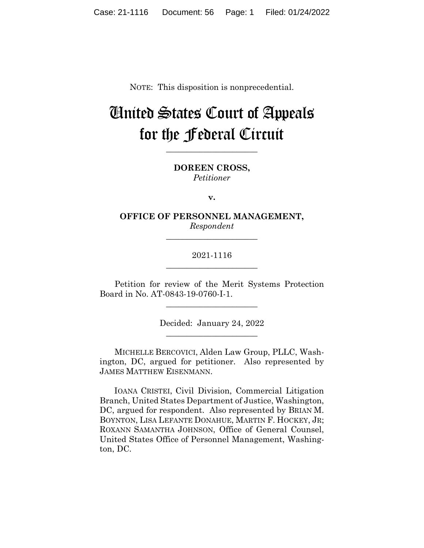NOTE: This disposition is nonprecedential.

# United States Court of Appeals for the Federal Circuit

**\_\_\_\_\_\_\_\_\_\_\_\_\_\_\_\_\_\_\_\_\_\_** 

**DOREEN CROSS,** *Petitioner*

**v.**

**OFFICE OF PERSONNEL MANAGEMENT,** *Respondent*

**\_\_\_\_\_\_\_\_\_\_\_\_\_\_\_\_\_\_\_\_\_\_** 

# 2021-1116 **\_\_\_\_\_\_\_\_\_\_\_\_\_\_\_\_\_\_\_\_\_\_**

Petition for review of the Merit Systems Protection Board in No. AT-0843-19-0760-I-1.

 $\overline{\phantom{a}}$  , we can assume that the contract of  $\overline{\phantom{a}}$ 

Decided: January 24, 2022  $\overline{\phantom{a}}$  , we can assume that the contract of  $\overline{\phantom{a}}$ 

MICHELLE BERCOVICI, Alden Law Group, PLLC, Washington, DC, argued for petitioner. Also represented by JAMES MATTHEW EISENMANN.

 IOANA CRISTEI, Civil Division, Commercial Litigation Branch, United States Department of Justice, Washington, DC, argued for respondent. Also represented by BRIAN M. BOYNTON, LISA LEFANTE DONAHUE, MARTIN F. HOCKEY, JR; ROXANN SAMANTHA JOHNSON, Office of General Counsel, United States Office of Personnel Management, Washington, DC.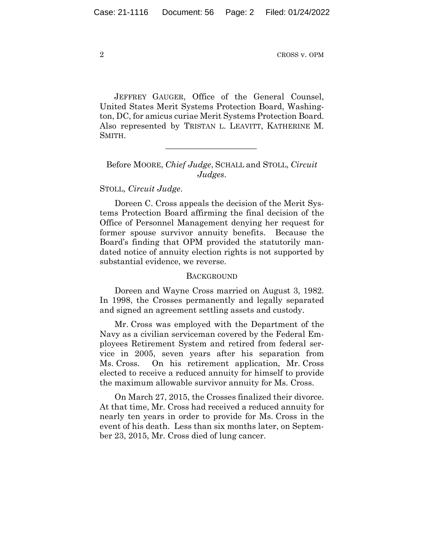JEFFREY GAUGER, Office of the General Counsel, United States Merit Systems Protection Board, Washington, DC, for amicus curiae Merit Systems Protection Board. Also represented by TRISTAN L. LEAVITT, KATHERINE M. SMITH.

## Before MOORE, *Chief Judge*, SCHALL and STOLL, *Circuit Judges*.

 $\mathcal{L}_\text{max}$  and  $\mathcal{L}_\text{max}$  and  $\mathcal{L}_\text{max}$  and  $\mathcal{L}_\text{max}$ 

### STOLL, *Circuit Judge*.

Doreen C. Cross appeals the decision of the Merit Systems Protection Board affirming the final decision of the Office of Personnel Management denying her request for former spouse survivor annuity benefits. Because the Board's finding that OPM provided the statutorily mandated notice of annuity election rights is not supported by substantial evidence, we reverse.

#### **BACKGROUND**

Doreen and Wayne Cross married on August 3, 1982. In 1998, the Crosses permanently and legally separated and signed an agreement settling assets and custody.

Mr. Cross was employed with the Department of the Navy as a civilian serviceman covered by the Federal Employees Retirement System and retired from federal service in 2005, seven years after his separation from Ms. Cross. On his retirement application, Mr. Cross elected to receive a reduced annuity for himself to provide the maximum allowable survivor annuity for Ms. Cross.

On March 27, 2015, the Crosses finalized their divorce. At that time, Mr. Cross had received a reduced annuity for nearly ten years in order to provide for Ms. Cross in the event of his death. Less than six months later, on September 23, 2015, Mr. Cross died of lung cancer.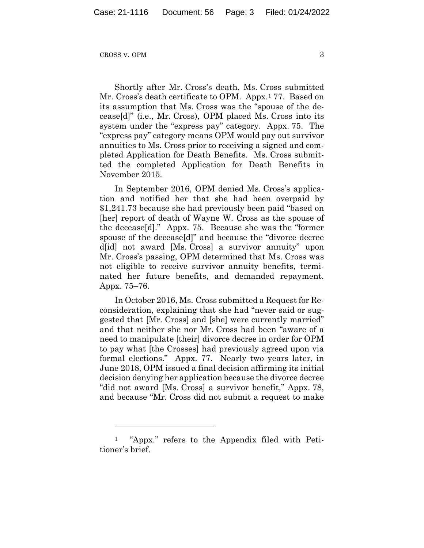Shortly after Mr. Cross's death, Ms. Cross submitted Mr. Cross's death certificate to OPM. Appx.1 77. Based on its assumption that Ms. Cross was the "spouse of the decease[d]" (i.e., Mr. Cross), OPM placed Ms. Cross into its system under the "express pay" category. Appx. 75. The "express pay" category means OPM would pay out survivor annuities to Ms. Cross prior to receiving a signed and completed Application for Death Benefits. Ms. Cross submitted the completed Application for Death Benefits in November 2015.

In September 2016, OPM denied Ms. Cross's application and notified her that she had been overpaid by \$1,241.73 because she had previously been paid "based on [her] report of death of Wayne W. Cross as the spouse of the decease[d]." Appx. 75. Because she was the "former spouse of the decease[d]" and because the "divorce decree d[id] not award [Ms. Cross] a survivor annuity" upon Mr. Cross's passing, OPM determined that Ms. Cross was not eligible to receive survivor annuity benefits, terminated her future benefits, and demanded repayment. Appx. 75–76.

In October 2016, Ms. Cross submitted a Request for Reconsideration, explaining that she had "never said or suggested that [Mr. Cross] and [she] were currently married" and that neither she nor Mr. Cross had been "aware of a need to manipulate [their] divorce decree in order for OPM to pay what [the Crosses] had previously agreed upon via formal elections." Appx. 77. Nearly two years later, in June 2018, OPM issued a final decision affirming its initial decision denying her application because the divorce decree "did not award [Ms. Cross] a survivor benefit," Appx. 78, and because "Mr. Cross did not submit a request to make

<sup>1 &</sup>quot;Appx." refers to the Appendix filed with Petitioner's brief.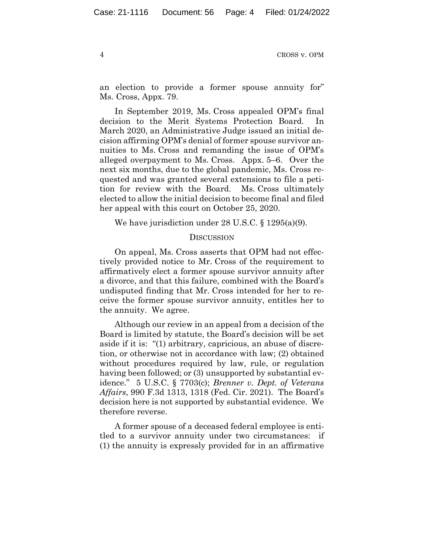an election to provide a former spouse annuity for" Ms. Cross, Appx. 79.

In September 2019, Ms. Cross appealed OPM's final decision to the Merit Systems Protection Board. In March 2020, an Administrative Judge issued an initial decision affirming OPM's denial of former spouse survivor annuities to Ms. Cross and remanding the issue of OPM's alleged overpayment to Ms. Cross. Appx. 5–6. Over the next six months, due to the global pandemic, Ms. Cross requested and was granted several extensions to file a petition for review with the Board. Ms. Cross ultimately elected to allow the initial decision to become final and filed her appeal with this court on October 25, 2020.

We have jurisdiction under 28 U.S.C. § 1295(a)(9).

#### **DISCUSSION**

On appeal, Ms. Cross asserts that OPM had not effectively provided notice to Mr. Cross of the requirement to affirmatively elect a former spouse survivor annuity after a divorce, and that this failure, combined with the Board's undisputed finding that Mr. Cross intended for her to receive the former spouse survivor annuity, entitles her to the annuity. We agree.

Although our review in an appeal from a decision of the Board is limited by statute, the Board's decision will be set aside if it is: "(1) arbitrary, capricious, an abuse of discretion, or otherwise not in accordance with law; (2) obtained without procedures required by law, rule, or regulation having been followed; or (3) unsupported by substantial evidence." 5 U.S.C. § 7703(c); *Brenner v. Dept. of Veterans Affairs*, 990 F.3d 1313, 1318 (Fed. Cir. 2021). The Board's decision here is not supported by substantial evidence. We therefore reverse.

A former spouse of a deceased federal employee is entitled to a survivor annuity under two circumstances: if (1) the annuity is expressly provided for in an affirmative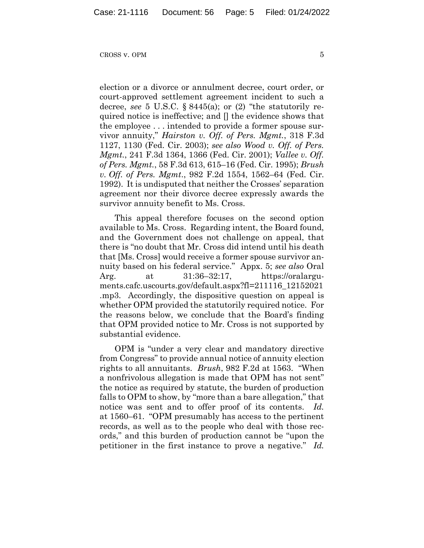$C\text{ROS}$  v. OPM  $5$ 

election or a divorce or annulment decree, court order, or court-approved settlement agreement incident to such a decree, *see* 5 U.S.C. § 8445(a); or (2) "the statutorily required notice is ineffective; and [] the evidence shows that the employee . . . intended to provide a former spouse survivor annuity," *Hairston v. Off. of Pers. Mgmt.*, 318 F.3d 1127, 1130 (Fed. Cir. 2003); *see also Wood v. Off. of Pers. Mgmt.*, 241 F.3d 1364, 1366 (Fed. Cir. 2001); *Vallee v. Off. of Pers. Mgmt.*, 58 F.3d 613, 615–16 (Fed. Cir. 1995); *Brush v. Off. of Pers. Mgmt*., 982 F.2d 1554, 1562–64 (Fed. Cir. 1992). It is undisputed that neither the Crosses' separation agreement nor their divorce decree expressly awards the survivor annuity benefit to Ms. Cross.

This appeal therefore focuses on the second option available to Ms. Cross. Regarding intent, the Board found, and the Government does not challenge on appeal, that there is "no doubt that Mr. Cross did intend until his death that [Ms. Cross] would receive a former spouse survivor annuity based on his federal service." Appx. 5; *see also* Oral Arg. at 31:36–32:17, https://oralarguments.cafc.uscourts.gov/default.aspx?fl=211116\_12152021 .mp3. Accordingly, the dispositive question on appeal is whether OPM provided the statutorily required notice. For the reasons below, we conclude that the Board's finding that OPM provided notice to Mr. Cross is not supported by substantial evidence.

OPM is "under a very clear and mandatory directive from Congress" to provide annual notice of annuity election rights to all annuitants. *Brush*, 982 F.2d at 1563. "When a nonfrivolous allegation is made that OPM has not sent" the notice as required by statute, the burden of production falls to OPM to show, by "more than a bare allegation," that notice was sent and to offer proof of its contents. *Id.* at 1560–61. "OPM presumably has access to the pertinent records, as well as to the people who deal with those records," and this burden of production cannot be "upon the petitioner in the first instance to prove a negative." *Id.*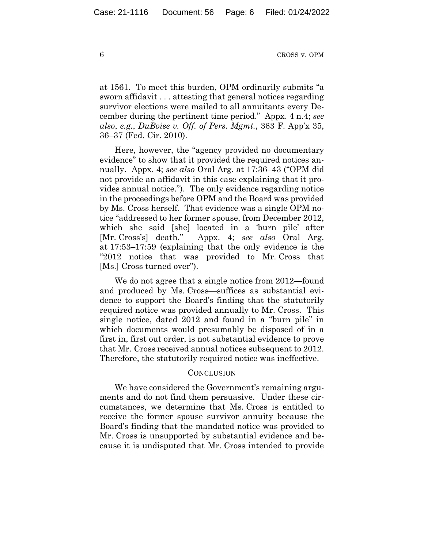at 1561. To meet this burden, OPM ordinarily submits "a sworn affidavit . . . attesting that general notices regarding survivor elections were mailed to all annuitants every December during the pertinent time period." Appx. 4 n.4; *see also*, *e.g.*, *DuBoise v. Off. of Pers. Mgmt.*, 363 F. App'x 35, 36–37 (Fed. Cir. 2010).

Here, however, the "agency provided no documentary evidence" to show that it provided the required notices annually. Appx. 4; *see also* Oral Arg. at 17:36–43 ("OPM did not provide an affidavit in this case explaining that it provides annual notice."). The only evidence regarding notice in the proceedings before OPM and the Board was provided by Ms. Cross herself. That evidence was a single OPM notice "addressed to her former spouse, from December 2012, which she said [she] located in a 'burn pile' after [Mr. Cross's] death." Appx. 4; *see also* Oral Arg. at 17:53–17:59 (explaining that the only evidence is the "2012 notice that was provided to Mr. Cross that [Ms.] Cross turned over").

We do not agree that a single notice from 2012—found and produced by Ms. Cross—suffices as substantial evidence to support the Board's finding that the statutorily required notice was provided annually to Mr. Cross. This single notice, dated 2012 and found in a "burn pile" in which documents would presumably be disposed of in a first in, first out order, is not substantial evidence to prove that Mr. Cross received annual notices subsequent to 2012. Therefore, the statutorily required notice was ineffective.

#### **CONCLUSION**

We have considered the Government's remaining arguments and do not find them persuasive. Under these circumstances, we determine that Ms. Cross is entitled to receive the former spouse survivor annuity because the Board's finding that the mandated notice was provided to Mr. Cross is unsupported by substantial evidence and because it is undisputed that Mr. Cross intended to provide